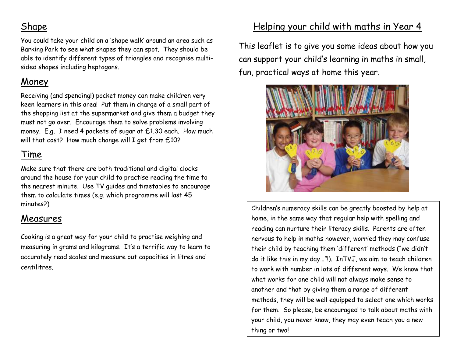## Shape

You could take your child on a 'shape walk' around an area such as Barking Park to see what shapes they can spot. They should be able to identify different types of triangles and recognise multisided shapes including heptagons.

# Money

Receiving (and spending!) pocket money can make children very keen learners in this area! Put them in charge of a small part of the shopping list at the supermarket and give them a budget they must not go over. Encourage them to solve problems involving money. E.g. I need 4 packets of sugar at £1.30 each. How much will that cost? How much change will I get from £10?

# Time

Make sure that there are both traditional and digital clocks around the house for your child to practise reading the time to the nearest minute. Use TV guides and timetables to encourage them to calculate times (e.g. which programme will last 45 minutes?)

## Measures

Cooking is a great way for your child to practise weighing and measuring in grams and kilograms. It's a terrific way to learn to accurately read scales and measure out capacities in litres and centilitres.

# Helping your child with maths in Year 4

This leaflet is to give you some ideas about how you can support your child's learning in maths in small, fun, practical ways at home this year.



Children's numeracy skills can be greatly boosted by help at home, in the same way that regular help with spelling and reading can nurture their literacy skills. Parents are often nervous to help in maths however, worried they may confuse their child by teaching them 'different' methods ("we didn't do it like this in my day…"!). InTVJ, we aim to teach children to work with number in lots of different ways. We know that what works for one child will not always make sense to another and that by giving them a range of different methods, they will be well equipped to select one which works for them. So please, be encouraged to talk about maths with your child, you never know, they may even teach you a new thing or two!